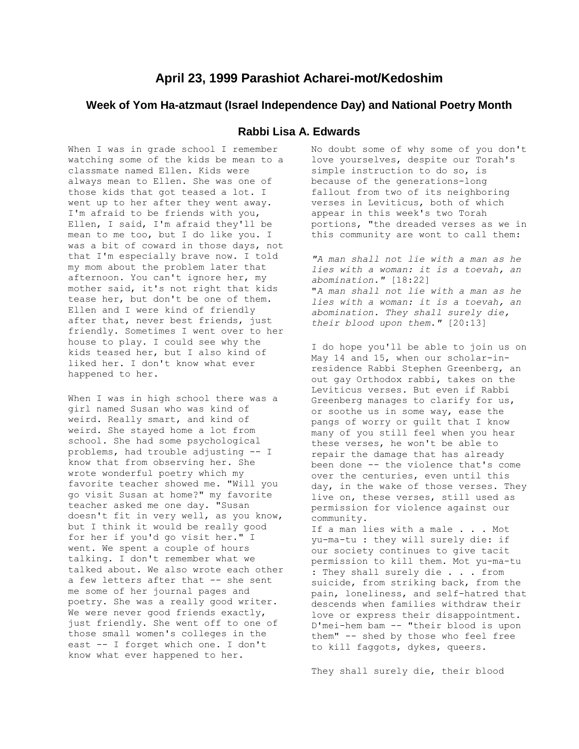## **April 23, 1999 Parashiot Acharei-mot/Kedoshim**

## **Week of Yom Ha-atzmaut (Israel Independence Day) and National Poetry Month**

## **Rabbi Lisa A. Edwards**

When I was in grade school I remember watching some of the kids be mean to a classmate named Ellen. Kids were always mean to Ellen. She was one of those kids that got teased a lot. I went up to her after they went away. I'm afraid to be friends with you, Ellen, I said, I'm afraid they'll be mean to me too, but I do like you. I was a bit of coward in those days, not that I'm especially brave now. I told my mom about the problem later that afternoon. You can't ignore her, my mother said, it's not right that kids tease her, but don't be one of them. Ellen and I were kind of friendly after that, never best friends, just friendly. Sometimes I went over to her house to play. I could see why the kids teased her, but I also kind of liked her. I don't know what ever happened to her.

When I was in high school there was a girl named Susan who was kind of weird. Really smart, and kind of weird. She stayed home a lot from school. She had some psychological problems, had trouble adjusting -- I know that from observing her. She wrote wonderful poetry which my favorite teacher showed me. "Will you go visit Susan at home?" my favorite teacher asked me one day. "Susan doesn't fit in very well, as you know, but I think it would be really good for her if you'd go visit her." I went. We spent a couple of hours talking. I don't remember what we talked about. We also wrote each other a few letters after that -- she sent me some of her journal pages and poetry. She was a really good writer. We were never good friends exactly, just friendly. She went off to one of those small women's colleges in the east -- I forget which one. I don't know what ever happened to her.

No doubt some of why some of you don't love yourselves, despite our Torah's simple instruction to do so, is because of the generations-long fallout from two of its neighboring verses in Leviticus, both of which appear in this week's two Torah portions, "the dreaded verses as we in this community are wont to call them:

*"A man shall not lie with a man as he lies with a woman: it is a toevah, an abomination."* [18:22] "*A man shall not lie with a man as he lies with a woman: it is a toevah, an abomination. They shall surely die, their blood upon them."* [20:13]

I do hope you'll be able to join us on May 14 and 15, when our scholar-inresidence Rabbi Stephen Greenberg, an out gay Orthodox rabbi, takes on the Leviticus verses. But even if Rabbi Greenberg manages to clarify for us, or soothe us in some way, ease the pangs of worry or guilt that I know many of you still feel when you hear these verses, he won't be able to repair the damage that has already been done -- the violence that's come over the centuries, even until this day, in the wake of those verses. They live on, these verses, still used as permission for violence against our community.

If a man lies with a male . . . Mot yu-ma-tu : they will surely die: if our society continues to give tacit permission to kill them. Mot yu-ma-tu : They shall surely die . . . from suicide, from striking back, from the pain, loneliness, and self-hatred that descends when families withdraw their love or express their disappointment. D'mei-hem bam -- "their blood is upon them" -- shed by those who feel free to kill faggots, dykes, queers.

They shall surely die, their blood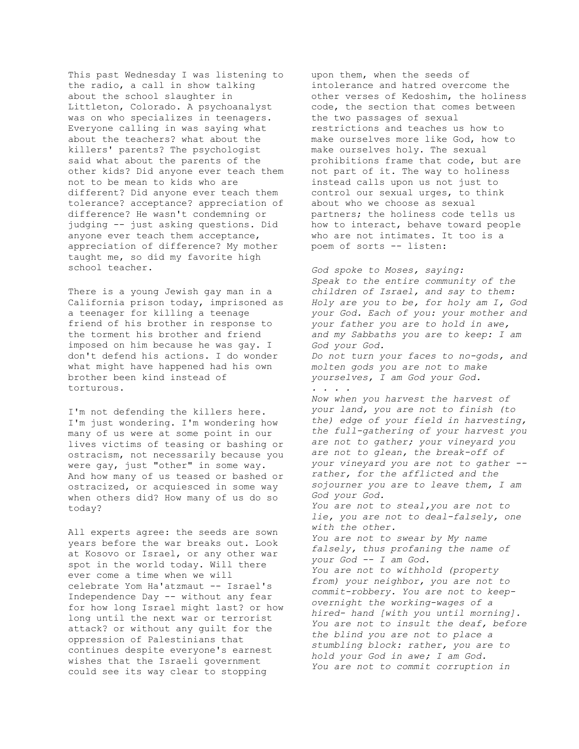This past Wednesday I was listening to the radio, a call in show talking about the school slaughter in Littleton, Colorado. A psychoanalyst was on who specializes in teenagers. Everyone calling in was saying what about the teachers? what about the killers' parents? The psychologist said what about the parents of the other kids? Did anyone ever teach them not to be mean to kids who are different? Did anyone ever teach them tolerance? acceptance? appreciation of difference? He wasn't condemning or judging -- just asking questions. Did anyone ever teach them acceptance, appreciation of difference? My mother taught me, so did my favorite high school teacher.

There is a young Jewish gay man in a California prison today, imprisoned as a teenager for killing a teenage friend of his brother in response to the torment his brother and friend imposed on him because he was gay. I don't defend his actions. I do wonder what might have happened had his own brother been kind instead of torturous.

I'm not defending the killers here. I'm just wondering. I'm wondering how many of us were at some point in our lives victims of teasing or bashing or ostracism, not necessarily because you were gay, just "other" in some way. And how many of us teased or bashed or ostracized, or acquiesced in some way when others did? How many of us do so today?

All experts agree: the seeds are sown years before the war breaks out. Look at Kosovo or Israel, or any other war spot in the world today. Will there ever come a time when we will celebrate Yom Ha'atzmaut -- Israel's Independence Day -- without any fear for how long Israel might last? or how long until the next war or terrorist attack? or without any guilt for the oppression of Palestinians that continues despite everyone's earnest wishes that the Israeli government could see its way clear to stopping

upon them, when the seeds of intolerance and hatred overcome the other verses of Kedoshim, the holiness code, the section that comes between the two passages of sexual restrictions and teaches us how to make ourselves more like God, how to make ourselves holy. The sexual prohibitions frame that code, but are not part of it. The way to holiness instead calls upon us not just to control our sexual urges, to think about who we choose as sexual partners; the holiness code tells us how to interact, behave toward people who are not intimates. It too is a poem of sorts -- listen:

*God spoke to Moses, saying: Speak to the entire community of the children of Israel, and say to them: Holy are you to be, for holy am I, God your God. Each of you: your mother and your father you are to hold in awe, and my Sabbaths you are to keep: I am God your God. Do not turn your faces to no-gods, and molten gods you are not to make yourselves, I am God your God. . . . . Now when you harvest the harvest of your land, you are not to finish (to the) edge of your field in harvesting, the full-gathering of your harvest you are not to gather; your vineyard you are not to glean, the break-off of your vineyard you are not to gather - rather, for the afflicted and the sojourner you are to leave them, I am God your God. You are not to steal,you are not to lie, you are not to deal-falsely, one with the other. You are not to swear by My name falsely, thus profaning the name of your God -- I am God. You are not to withhold (property from) your neighbor, you are not to commit-robbery. You are not to keepovernight the working-wages of a hired- hand [with you until morning]. You are not to insult the deaf, before the blind you are not to place a stumbling block: rather, you are to hold your God in awe; I am God. You are not to commit corruption in*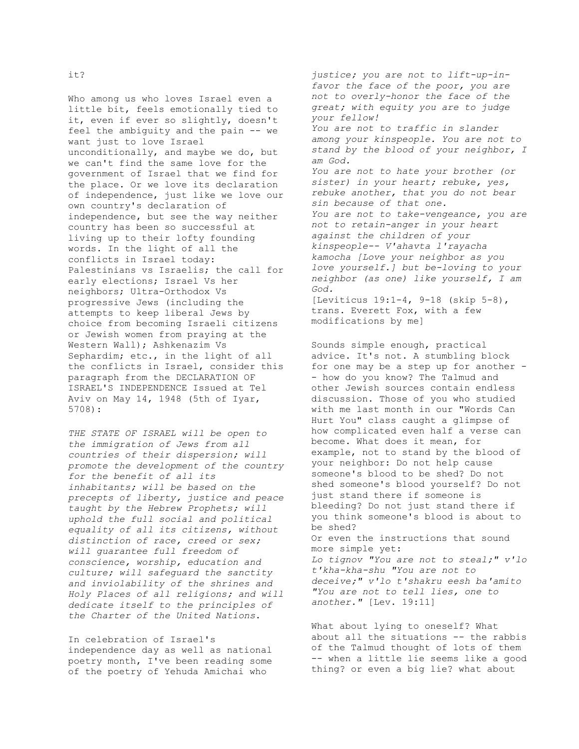Who among us who loves Israel even a little bit, feels emotionally tied to it, even if ever so slightly, doesn't feel the ambiguity and the pain -- we want just to love Israel unconditionally, and maybe we do, but we can't find the same love for the government of Israel that we find for the place. Or we love its declaration of independence, just like we love our own country's declaration of independence, but see the way neither country has been so successful at living up to their lofty founding words. In the light of all the conflicts in Israel today: Palestinians vs Israelis; the call for early elections; Israel Vs her neighbors; Ultra-Orthodox Vs

progressive Jews (including the attempts to keep liberal Jews by choice from becoming Israeli citizens or Jewish women from praying at the Western Wall); Ashkenazim Vs Sephardim; etc., in the light of all the conflicts in Israel, consider this paragraph from the DECLARATION OF ISRAEL'S INDEPENDENCE Issued at Tel Aviv on May 14, 1948 (5th of Iyar, 5708):

*THE STATE OF ISRAEL will be open to the immigration of Jews from all countries of their dispersion; will promote the development of the country for the benefit of all its inhabitants; will be based on the precepts of liberty, justice and peace taught by the Hebrew Prophets; will uphold the full social and political equality of all its citizens, without distinction of race, creed or sex; will guarantee full freedom of conscience, worship, education and culture; will safeguard the sanctity and inviolability of the shrines and Holy Places of all religions; and will dedicate itself to the principles of the Charter of the United Nations*.

In celebration of Israel's independence day as well as national poetry month, I've been reading some of the poetry of Yehuda Amichai who

*justice; you are not to lift-up-infavor the face of the poor, you are not to overly-honor the face of the great; with equity you are to judge your fellow! You are not to traffic in slander among your kinspeople. You are not to stand by the blood of your neighbor, I am God. You are not to hate your brother (or sister) in your heart; rebuke, yes, rebuke another, that you do not bear sin because of that one. You are not to take-vengeance, you are not to retain-anger in your heart against the children of your kinspeople-- V'ahavta l'rayacha kamocha [Love your neighbor as you love yourself.] but be-loving to your neighbor (as one) like yourself, I am God.* [Leviticus 19:1-4, 9-18 (skip 5-8), trans. Everett Fox, with a few modifications by me]

Sounds simple enough, practical advice. It's not. A stumbling block for one may be a step up for another - - how do you know? The Talmud and other Jewish sources contain endless discussion. Those of you who studied with me last month in our "Words Can Hurt You" class caught a glimpse of how complicated even half a verse can become. What does it mean, for example, not to stand by the blood of your neighbor: Do not help cause someone's blood to be shed? Do not shed someone's blood yourself? Do not just stand there if someone is bleeding? Do not just stand there if you think someone's blood is about to be shed? Or even the instructions that sound more simple yet: *Lo tignov "You are not to steal;" v'lo t'kha-kha-shu "You are not to deceive;" v'lo t'shakru eesh ba'amito "You are not to tell lies, one to another."* [Lev. 19:11]

What about lying to oneself? What about all the situations -- the rabbis of the Talmud thought of lots of them -- when a little lie seems like a good thing? or even a big lie? what about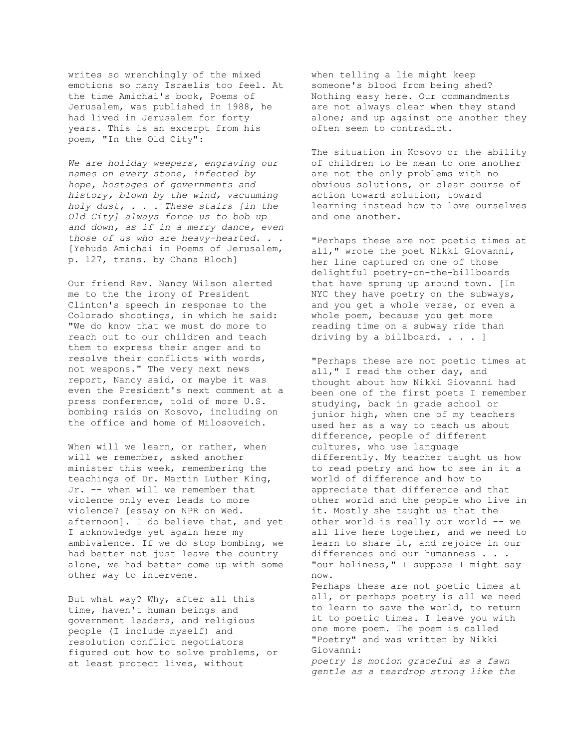writes so wrenchingly of the mixed emotions so many Israelis too feel. At the time Amichai's book, Poems of Jerusalem, was published in 1988, he had lived in Jerusalem for forty years. This is an excerpt from his poem, "In the Old City":

*We are holiday weepers, engraving our names on every stone, infected by hope, hostages of governments and history, blown by the wind, vacuuming holy dust, . . . These stairs [in the Old City] always force us to bob up and down, as if in a merry dance, even those of us who are heavy-hearted. . .*  [Yehuda Amichai in Poems of Jerusalem, p. 127, trans. by Chana Bloch]

Our friend Rev. Nancy Wilson alerted me to the the irony of President Clinton's speech in response to the Colorado shootings, in which he said: "We do know that we must do more to reach out to our children and teach them to express their anger and to resolve their conflicts with words, not weapons." The very next news report, Nancy said, or maybe it was even the President's next comment at a press conference, told of more U.S. bombing raids on Kosovo, including on the office and home of Milosoveich.

When will we learn, or rather, when will we remember, asked another minister this week, remembering the teachings of Dr. Martin Luther King, Jr. -- when will we remember that violence only ever leads to more violence? [essay on NPR on Wed. afternoon]. I do believe that, and yet I acknowledge yet again here my ambivalence. If we do stop bombing, we had better not just leave the country alone, we had better come up with some other way to intervene.

But what way? Why, after all this time, haven't human beings and government leaders, and religious people (I include myself) and resolution conflict negotiators figured out how to solve problems, or at least protect lives, without

when telling a lie might keep someone's blood from being shed? Nothing easy here. Our commandments are not always clear when they stand alone; and up against one another they often seem to contradict.

The situation in Kosovo or the ability of children to be mean to one another are not the only problems with no obvious solutions, or clear course of action toward solution, toward learning instead how to love ourselves and one another.

"Perhaps these are not poetic times at all," wrote the poet Nikki Giovanni, her line captured on one of those delightful poetry-on-the-billboards that have sprung up around town. [In NYC they have poetry on the subways, and you get a whole verse, or even a whole poem, because you get more reading time on a subway ride than driving by a billboard. . . . ]

"Perhaps these are not poetic times at all," I read the other day, and thought about how Nikki Giovanni had been one of the first poets I remember studying, back in grade school or junior high, when one of my teachers used her as a way to teach us about difference, people of different cultures, who use language differently. My teacher taught us how to read poetry and how to see in it a world of difference and how to appreciate that difference and that other world and the people who live in it. Mostly she taught us that the other world is really our world -- we all live here together, and we need to learn to share it, and rejoice in our differences and our humanness . . . "our holiness," I suppose I might say now. Perhaps these are not poetic times at all, or perhaps poetry is all we need to learn to save the world, to return it to poetic times. I leave you with one more poem. The poem is called "Poetry" and was written by Nikki Giovanni: *poetry is motion graceful as a fawn* 

*gentle as a teardrop strong like the*